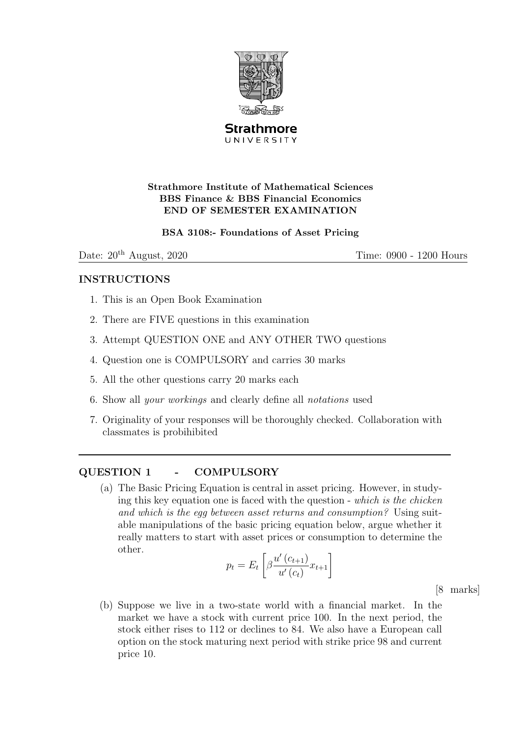

**Strathmore** UNIVERSITY

## Strathmore Institute of Mathematical Sciences BBS Finance & BBS Financial Economics END OF SEMESTER EXAMINATION

#### BSA 3108:- Foundations of Asset Pricing

Date:  $20<sup>th</sup>$  August,  $2020$  Time:  $0900 - 1200$  Hours

## INSTRUCTIONS

- 1. This is an Open Book Examination
- 2. There are FIVE questions in this examination
- 3. Attempt QUESTION ONE and ANY OTHER TWO questions
- 4. Question one is COMPULSORY and carries 30 marks
- 5. All the other questions carry 20 marks each
- 6. Show all your workings and clearly define all notations used
- 7. Originality of your responses will be thoroughly checked. Collaboration with classmates is probihibited

# QUESTION 1 - COMPULSORY

(a) The Basic Pricing Equation is central in asset pricing. However, in studying this key equation one is faced with the question - which is the chicken and which is the egg between asset returns and consumption? Using suitable manipulations of the basic pricing equation below, argue whether it really matters to start with asset prices or consumption to determine the other.

$$
p_t = E_t \left[ \beta \frac{u'(c_{t+1})}{u'(c_t)} x_{t+1} \right]
$$

[8 marks]

(b) Suppose we live in a two-state world with a financial market. In the market we have a stock with current price 100. In the next period, the stock either rises to 112 or declines to 84. We also have a European call option on the stock maturing next period with strike price 98 and current price 10.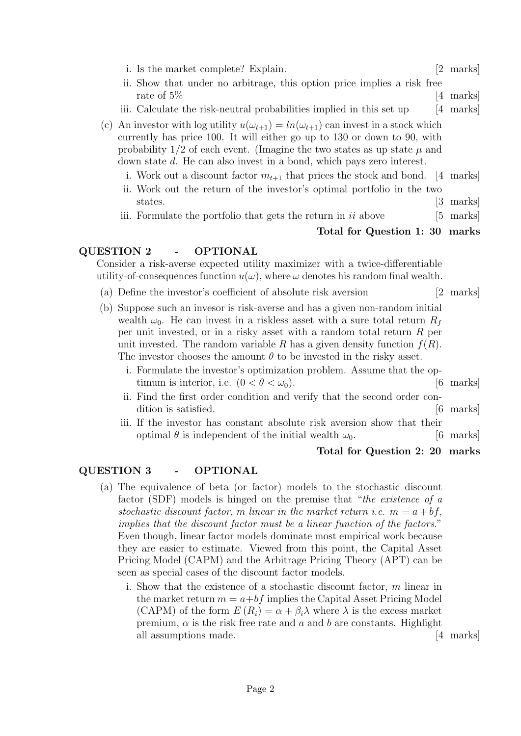- i. Is the market complete? Explain. [2 marks]
- ii. Show that under no arbitrage, this option price implies a risk free rate of 5% [4 marks]
- iii. Calculate the risk-neutral probabilities implied in this set up [4 marks]
- (c) An investor with log utility  $u(\omega_{t+1}) = ln(\omega_{t+1})$  can invest in a stock which currently has price 100. It will either go up to 130 or down to 90, with probability  $1/2$  of each event. (Imagine the two states as up state  $\mu$  and down state d. He can also invest in a bond, which pays zero interest.
	- i. Work out a discount factor  $m_{t+1}$  that prices the stock and bond. [4 marks]
	- ii. Work out the return of the investor's optimal portfolio in the two states. [3 marks]
	- iii. Formulate the portfolio that gets the return in  $ii$  above [5 marks]

#### Total for Question 1: 30 marks

## QUESTION 2 - OPTIONAL

Consider a risk-averse expected utility maximizer with a twice-differentiable utility-of-consequences function  $u(\omega)$ , where  $\omega$  denotes his random final wealth.

- (a) Define the investor's coefficient of absolute risk aversion [2 marks]
- (b) Suppose such an invesor is risk-averse and has a given non-random initial wealth  $\omega_0$ . He can invest in a riskless asset with a sure total return  $R_f$ per unit invested, or in a risky asset with a random total return R per unit invested. The random variable R has a given density function  $f(R)$ . The investor chooses the amount  $\theta$  to be invested in the risky asset.
	- i. Formulate the investor's optimization problem. Assume that the optimum is interior, i.e.  $(0 < \theta < \omega_0)$ . [6 marks]
	- ii. Find the first order condition and verify that the second order condition is satisfied.  $\qquad \qquad$  [6 marks]
	- iii. If the investor has constant absolute risk aversion show that their optimal  $\theta$  is independent of the initial wealth  $\omega_0$ . [6 marks]

#### Total for Question 2: 20 marks

## QUESTION 3 - OPTIONAL

- (a) The equivalence of beta (or factor) models to the stochastic discount factor (SDF) models is hinged on the premise that "*the existence of a* stochastic discount factor, m linear in the market return *i.e.*  $m = a + bf$ . implies that the discount factor must be a linear function of the factors." Even though, linear factor models dominate most empirical work because they are easier to estimate. Viewed from this point, the Capital Asset Pricing Model (CAPM) and the Arbitrage Pricing Theory (APT) can be seen as special cases of the discount factor models.
	- i. Show that the existence of a stochastic discount factor, m linear in the market return  $m = a + bf$  implies the Capital Asset Pricing Model (CAPM) of the form  $E(R_i) = \alpha + \beta_i \lambda$  where  $\lambda$  is the excess market premium,  $\alpha$  is the risk free rate and a and b are constants. Highlight all assumptions made. [4 marks]